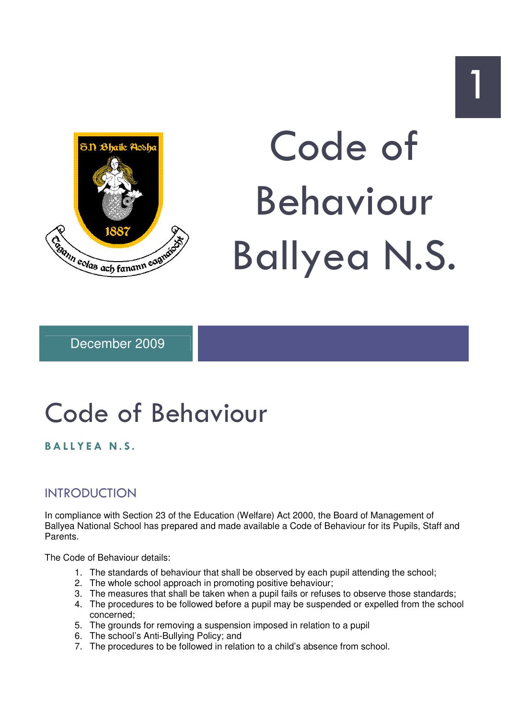

# Code of Behaviour Ballyea N.S.

December 2009

# Code of Behaviour

# BALLYEA N.S.

# INTRODUCTION

In compliance with Section 23 of the Education (Welfare) Act 2000, the Board of Management of Ballyea National School has prepared and made available a Code of Behaviour for its Pupils, Staff and Parents.

The Code of Behaviour details:

- 1. The standards of behaviour that shall be observed by each pupil attending the school;
- 2. The whole school approach in promoting positive behaviour;
- 3. The measures that shall be taken when a pupil fails or refuses to observe those standards;
- 4. The procedures to be followed before a pupil may be suspended or expelled from the school concerned;
- 5. The grounds for removing a suspension imposed in relation to a pupil
- 6. The school's Anti-Bullying Policy; and
- 7. The procedures to be followed in relation to a child's absence from school.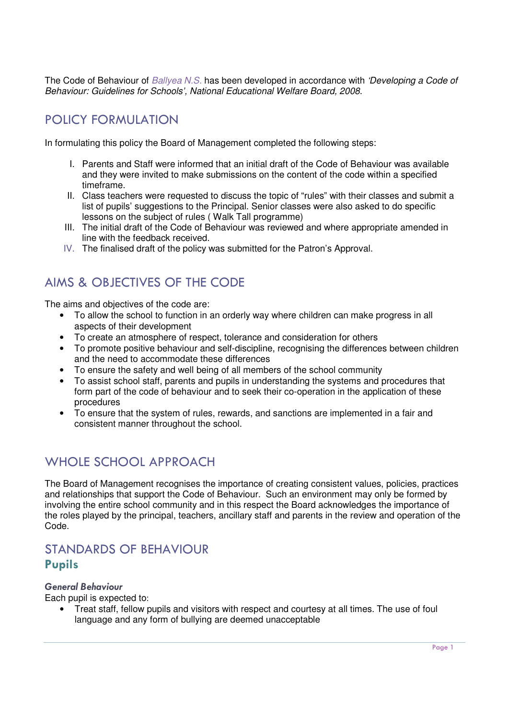The Code of Behaviour of Ballyea N.S. has been developed in accordance with 'Developing a Code of Behaviour: Guidelines for Schools', National Educational Welfare Board, 2008.

# POLICY FORMULATION

In formulating this policy the Board of Management completed the following steps:

- I. Parents and Staff were informed that an initial draft of the Code of Behaviour was available and they were invited to make submissions on the content of the code within a specified timeframe.
- II. Class teachers were requested to discuss the topic of "rules" with their classes and submit a list of pupils' suggestions to the Principal. Senior classes were also asked to do specific lessons on the subject of rules ( Walk Tall programme)
- III. The initial draft of the Code of Behaviour was reviewed and where appropriate amended in line with the feedback received.
- IV. The finalised draft of the policy was submitted for the Patron's Approval.

# AIMS & OBJECTIVES OF THE CODE

The aims and objectives of the code are:

- To allow the school to function in an orderly way where children can make progress in all aspects of their development
- To create an atmosphere of respect, tolerance and consideration for others
- To promote positive behaviour and self-discipline, recognising the differences between children and the need to accommodate these differences
- To ensure the safety and well being of all members of the school community
- To assist school staff, parents and pupils in understanding the systems and procedures that form part of the code of behaviour and to seek their co-operation in the application of these procedures
- To ensure that the system of rules, rewards, and sanctions are implemented in a fair and consistent manner throughout the school.

# WHOLE SCHOOL APPROACH

The Board of Management recognises the importance of creating consistent values, policies, practices and relationships that support the Code of Behaviour. Such an environment may only be formed by involving the entire school community and in this respect the Board acknowledges the importance of the roles played by the principal, teachers, ancillary staff and parents in the review and operation of the Code.

# STANDARDS OF BEHAVIOUR Pupils

# General Behaviour

Each pupil is expected to:

• Treat staff, fellow pupils and visitors with respect and courtesy at all times. The use of foul language and any form of bullying are deemed unacceptable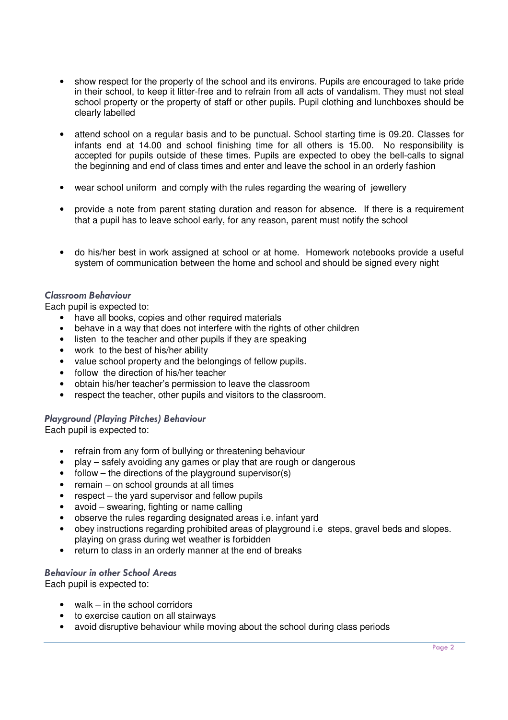- show respect for the property of the school and its environs. Pupils are encouraged to take pride in their school, to keep it litter-free and to refrain from all acts of vandalism. They must not steal school property or the property of staff or other pupils. Pupil clothing and lunchboxes should be clearly labelled
- attend school on a regular basis and to be punctual. School starting time is 09.20. Classes for infants end at  $14.00$  and school finishing time for all others is  $15.00$ . No responsibility is accepted for pupils outside of these times. Pupils are expected to obey the bell-calls to signal the beginning and end of class times and enter and leave the school in an orderly fashion
- wear school uniform and comply with the rules regarding the wearing of jewellery
- provide a note from parent stating duration and reason for absence. If there is a requirement that a pupil has to leave school early, for any reason, parent must notify the school
- do his/her best in work assigned at school or at home.Homework notebooks provide a useful system of communication between the home and school and should be signed every night

# Classroom Behaviour

Each pupil is expected to:

- have all books, copies and other required materials
- behave in a way that does not interfere with the rights of other children
- listen to the teacher and other pupils if they are speaking
- work to the best of his/her ability
- value school property and the belongings of fellow pupils.
- follow the direction of his/her teacher
- obtain his/her teacher's permission to leave the classroom
- respect the teacher, other pupils and visitors to the classroom.

# Playground (Playing Pitches) Behaviour

Each pupil is expected to:

- refrain from any form of bullying or threatening behaviour
- play safely avoiding any games or play that are rough or dangerous
- follow the directions of the playground supervisor(s)
- remain on school grounds at all times
- respect the yard supervisor and fellow pupils
- avoid swearing, fighting or name calling
- observe the rules regarding designated areas i.e. infant yard
- obey instructions regarding prohibited areas of playground i.e steps, gravel beds and slopes. playing on grass during wet weather is forbidden
- return to class in an orderly manner at the end of breaks

#### Behaviour in other School Areas

Each pupil is expected to:

- walk in the school corridors
- to exercise caution on all stairways
- avoid disruptive behaviour while moving about the school during class periods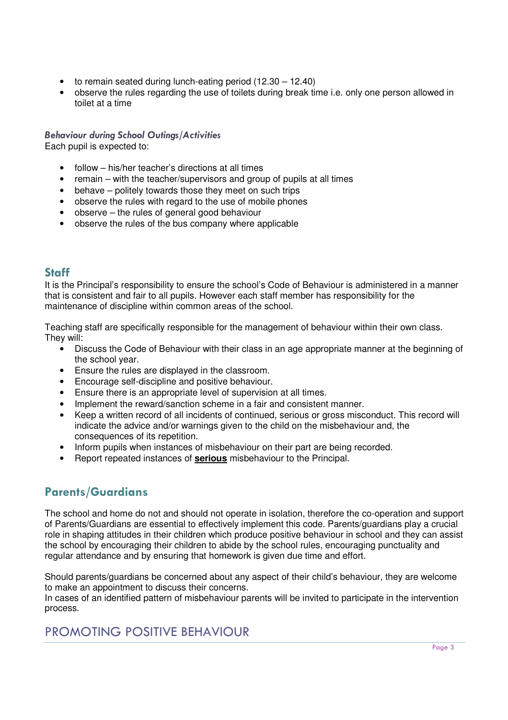- to remain seated during lunch-eating period (12.30 12.40)
- observe the rules regarding the use of toilets during break time i.e. only one person allowed in toilet at a time

#### Behaviour during School Outings/Activities Each pupil is expected to:

- follow his/her teacher's directions at all times
- remain with the teacher/supervisors and group of pupils at all times
- behave politely towards those they meet on such trips
- observe the rules with regard to the use of mobile phones
- observe the rules of general good behaviour
- observe the rules of the bus company where applicable

# Staff

It is the Principal's responsibility to ensure the school's Code of Behaviour is administered in a manner that is consistent and fair to all pupils. However each staff member has responsibility for the maintenance of discipline within common areas of the school.

Teaching staff are specifically responsible for the management of behaviour within their own class. They will:

- Discuss the Code of Behaviour with their class in an age appropriate manner at the beginning of the school year.
- Ensure the rules are displayed in the classroom.
- Encourage self-discipline and positive behaviour.
- Ensure there is an appropriate level of supervision at all times.
- Implement the reward/sanction scheme in a fair and consistent manner.
- Keep a written record of all incidents of continued, serious or gross misconduct. This record will indicate the advice and/or warnings given to the child on the misbehaviour and, the consequences of its repetition.
- Inform pupils when instances of misbehaviour on their part are being recorded.
- Report repeated instances of **serious** misbehaviour to the Principal.

# Parents/Guardians

The school and home do not and should not operate in isolation, therefore the co-operation and support of Parents/Guardians are essential to effectively implement this code. Parents/guardians play a crucial role in shaping attitudes in their children which produce positive behaviour in school and they can assist the school by encouraging their children to abide by the school rules, encouraging punctuality and regular attendance and by ensuring that homework is given due time and effort.

Should parents/guardians be concerned about any aspect of their child's behaviour, they are welcome to make an appointment to discuss their concerns.

In cases of an identified pattern of misbehaviour parents will be invited to participate in the intervention process.

# PROMOTING POSITIVE BEHAVIOUR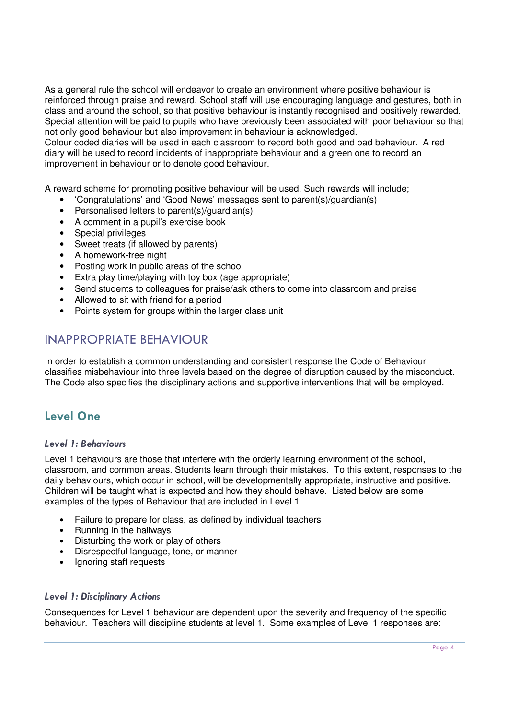As a general rule the school will endeavor to create an environment where positive behaviour is reinforced through praise and reward. School staff will use encouraging language and gestures, both in class and around the school, so that positive behaviour is instantly recognised and positively rewarded. Special attention will be paid to pupils who have previously been associated with poor behaviour so that not only good behaviour but also improvement in behaviour is acknowledged.

Colour coded diaries will be used in each classroom to record both good and bad behaviour. A red diary will be used to record incidents of inappropriate behaviour and a green one to record an improvement in behaviour or to denote good behaviour.

A reward scheme for promoting positive behaviour will be used. Such rewards will include;

- 'Congratulations' and 'Good News' messages sent to parent(s)/guardian(s)
- Personalised letters to parent(s)/guardian(s)
- A comment in a pupil's exercise book
- Special privileges
- Sweet treats (if allowed by parents)
- A homework-free night
- Posting work in public areas of the school
- Extra play time/playing with toy box (age appropriate)
- Send students to colleagues for praise/ask others to come into classroom and praise
- Allowed to sit with friend for a period
- Points system for groups within the larger class unit

# INAPPROPRIATE BEHAVIOUR

In order to establish a common understanding and consistent response the Code of Behaviour classifies misbehaviour into three levels based on the degree of disruption caused by the misconduct. The Code also specifies the disciplinary actions and supportive interventions that will be employed.

# Level One

#### Level 1: Behaviours

Level 1 behaviours are those that interfere with the orderly learning environment of the school, classroom, and common areas. Students learn through their mistakes. To this extent, responses to the daily behaviours, which occur in school, will be developmentally appropriate, instructive and positive. Children will be taught what is expected and how they should behave. Listed below are some examples of the types of Behaviour that are included in Level 1.

- Failure to prepare for class, as defined by individual teachers
- Running in the hallways
- Disturbing the work or play of others
- Disrespectful language, tone, or manner
- Ignoring staff requests

#### Level 1: Disciplinary Actions

Consequences for Level 1 behaviour are dependent upon the severity and frequency of the specific behaviour. Teachers will discipline students at level 1. Some examples of Level 1 responses are: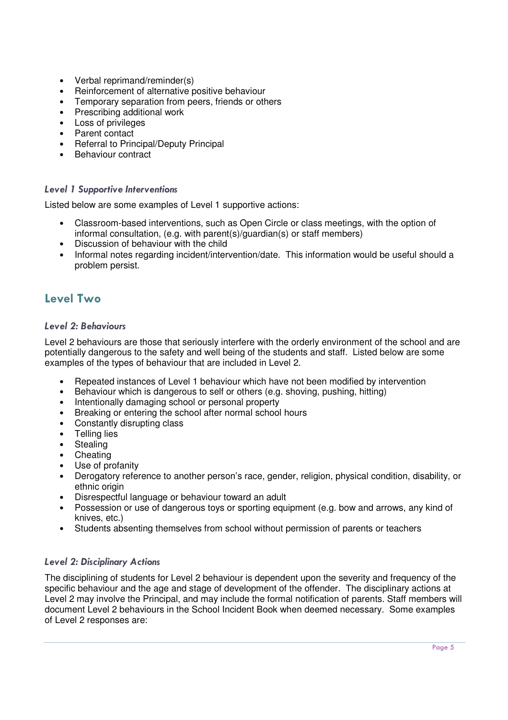- Verbal reprimand/reminder(s)
- Reinforcement of alternative positive behaviour
- Temporary separation from peers, friends or others
- Prescribing additional work
- Loss of privileges
- Parent contact
- Referral to Principal/Deputy Principal
- Behaviour contract

# Level 1 Supportive Interventions

Listed below are some examples of Level 1 supportive actions:

- Classroom-based interventions, such as Open Circle or class meetings, with the option of informal consultation, (e.g. with parent(s)/guardian(s) or staff members)
- Discussion of behaviour with the child
- Informal notes regarding incident/intervention/date. This information would be useful should a problem persist.

# Level Two

# Level 2: Behaviours

Level 2 behaviours are those that seriously interfere with the orderly environment of the school and are potentially dangerous to the safety and well being of the students and staff. Listed below are some examples of the types of behaviour that are included in Level 2.

- Repeated instances of Level 1 behaviour which have not been modified by intervention
- Behaviour which is dangerous to self or others (e.g. shoving, pushing, hitting)
- Intentionally damaging school or personal property
- Breaking or entering the school after normal school hours
- Constantly disrupting class
- Telling lies
- **Stealing**
- **Cheating**
- Use of profanity
- Derogatory reference to another person's race, gender, religion, physical condition, disability, or ethnic origin
- Disrespectful language or behaviour toward an adult
- Possession or use of dangerous toys or sporting equipment (e.g. bow and arrows, any kind of knives, etc.)
- Students absenting themselves from school without permission of parents or teachers

# Level 2: Disciplinary Actions

The disciplining of students for Level 2 behaviour is dependent upon the severity and frequency of the specific behaviour and the age and stage of development of the offender. The disciplinary actions at Level 2 may involve the Principal, and may include the formal notification of parents. Staff members will document Level 2 behaviours in the School Incident Book when deemed necessary. Some examples of Level 2 responses are: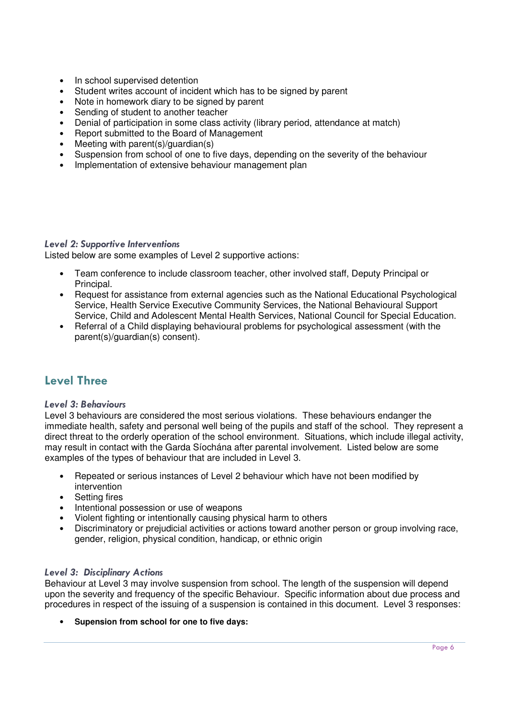- In school supervised detention
- Student writes account of incident which has to be signed by parent
- Note in homework diary to be signed by parent
- Sending of student to another teacher
- Denial of participation in some class activity (library period, attendance at match)
- Report submitted to the Board of Management
- Meeting with parent(s)/guardian(s)
- Suspension from school of one to five days, depending on the severity of the behaviour
- Implementation of extensive behaviour management plan

#### Level 2: Supportive Interventions

Listed below are some examples of Level 2 supportive actions:

- Team conference to include classroom teacher, other involved staff, Deputy Principal or Principal.
- Request for assistance from external agencies such as the National Educational Psychological Service, Health Service Executive Community Services, the National Behavioural Support Service, Child and Adolescent Mental Health Services, National Council for Special Education.
- Referral of a Child displaying behavioural problems for psychological assessment (with the parent(s)/guardian(s) consent).

# Level Three

# Level 3: Behaviours

Level 3 behaviours are considered the most serious violations. These behaviours endanger the immediate health, safety and personal well being of the pupils and staff of the school. They represent a direct threat to the orderly operation of the school environment. Situations, which include illegal activity, may result in contact with the Garda Síochána after parental involvement. Listed below are some examples of the types of behaviour that are included in Level 3.

- Repeated or serious instances of Level 2 behaviour which have not been modified by intervention
- **Setting fires**
- Intentional possession or use of weapons
- Violent fighting or intentionally causing physical harm to others
- Discriminatory or prejudicial activities or actions toward another person or group involving race, gender, religion, physical condition, handicap, or ethnic origin

#### Level 3: Disciplinary Actions

Behaviour at Level 3 may involve suspension from school. The length of the suspension will depend upon the severity and frequency of the specific Behaviour. Specific information about due process and procedures in respect of the issuing of a suspension is contained in this document. Level 3 responses:

• **Supension from school for one to five days:**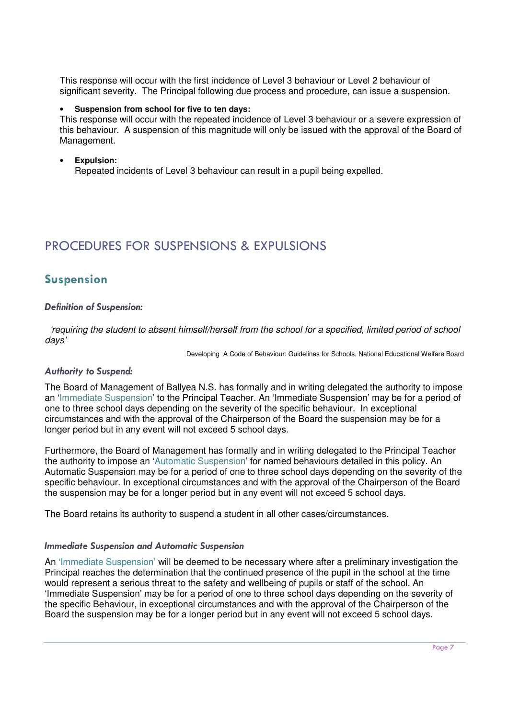This response will occur with the first incidence of Level 3 behaviour or Level 2 behaviour of significant severity. The Principal following due process and procedure, can issue a suspension.

#### • **Suspension from school for five to ten days:**

This response will occur with the repeated incidence of Level 3 behaviour or a severe expression of this behaviour. A suspension of this magnitude will only be issued with the approval of the Board of Management.

#### • **Expulsion:**

Repeated incidents of Level 3 behaviour can result in a pupil being expelled.

# PROCEDURES FOR SUSPENSIONS & EXPULSIONS

# Suspension

#### Definition of Suspension:

 'requiring the student to absent himself/herself from the school for a specified, limited period of school days'

Developing A Code of Behaviour: Guidelines for Schools, National Educational Welfare Board

#### Authority to Suspend:

The Board of Management of Ballyea N.S. has formally and in writing delegated the authority to impose an 'Immediate Suspension' to the Principal Teacher. An 'Immediate Suspension' may be for a period of one to three school days depending on the severity of the specific behaviour. In exceptional circumstances and with the approval of the Chairperson of the Board the suspension may be for a longer period but in any event will not exceed 5 school days.

Furthermore, the Board of Management has formally and in writing delegated to the Principal Teacher the authority to impose an 'Automatic Suspension' for named behaviours detailed in this policy. An Automatic Suspension may be for a period of one to three school days depending on the severity of the specific behaviour. In exceptional circumstances and with the approval of the Chairperson of the Board the suspension may be for a longer period but in any event will not exceed 5 school days.

The Board retains its authority to suspend a student in all other cases/circumstances.

#### Immediate Suspension and Automatic Suspension

An 'Immediate Suspension' will be deemed to be necessary where after a preliminary investigation the Principal reaches the determination that the continued presence of the pupil in the school at the time would represent a serious threat to the safety and wellbeing of pupils or staff of the school. An 'Immediate Suspension' may be for a period of one to three school days depending on the severity of the specific Behaviour, in exceptional circumstances and with the approval of the Chairperson of the Board the suspension may be for a longer period but in any event will not exceed 5 school days.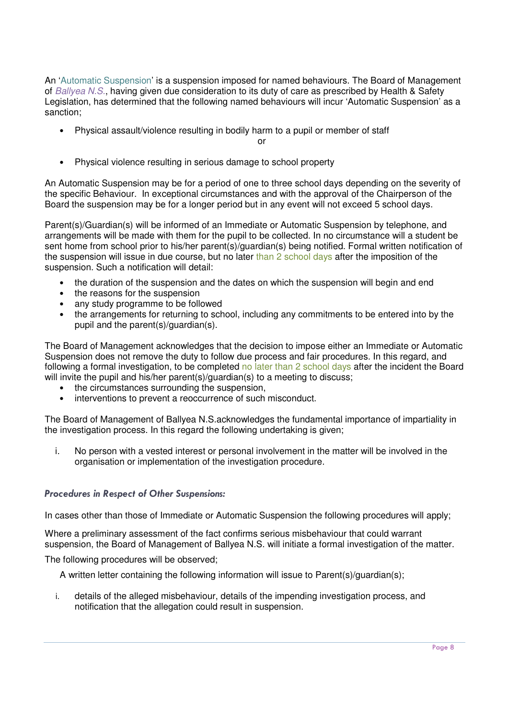An 'Automatic Suspension' is a suspension imposed for named behaviours. The Board of Management of Ballyea N.S., having given due consideration to its duty of care as prescribed by Health & Safety Legislation, has determined that the following named behaviours will incur 'Automatic Suspension' as a sanction;

• Physical assault/violence resulting in bodily harm to a pupil or member of staff

or

• Physical violence resulting in serious damage to school property

An Automatic Suspension may be for a period of one to three school days depending on the severity of the specific Behaviour. In exceptional circumstances and with the approval of the Chairperson of the Board the suspension may be for a longer period but in any event will not exceed 5 school days.

Parent(s)/Guardian(s) will be informed of an Immediate or Automatic Suspension by telephone, and arrangements will be made with them for the pupil to be collected. In no circumstance will a student be sent home from school prior to his/her parent(s)/guardian(s) being notified. Formal written notification of the suspension will issue in due course, but no later than 2 school days after the imposition of the suspension. Such a notification will detail:

- the duration of the suspension and the dates on which the suspension will begin and end
- the reasons for the suspension
- any study programme to be followed
- the arrangements for returning to school, including any commitments to be entered into by the pupil and the parent(s)/guardian(s).

The Board of Management acknowledges that the decision to impose either an Immediate or Automatic Suspension does not remove the duty to follow due process and fair procedures. In this regard, and following a formal investigation, to be completed no later than 2 school days after the incident the Board will invite the pupil and his/her parent(s)/quardian(s) to a meeting to discuss;

- the circumstances surrounding the suspension,
- interventions to prevent a reoccurrence of such misconduct.

The Board of Management of Ballyea N.S.acknowledges the fundamental importance of impartiality in the investigation process. In this regard the following undertaking is given;

i. No person with a vested interest or personal involvement in the matter will be involved in the organisation or implementation of the investigation procedure.

# Procedures in Respect of Other Suspensions:

In cases other than those of Immediate or Automatic Suspension the following procedures will apply;

Where a preliminary assessment of the fact confirms serious misbehaviour that could warrant suspension, the Board of Management of Ballyea N.S. will initiate a formal investigation of the matter.

The following procedures will be observed;

A written letter containing the following information will issue to Parent(s)/guardian(s);

i. details of the alleged misbehaviour, details of the impending investigation process, and notification that the allegation could result in suspension.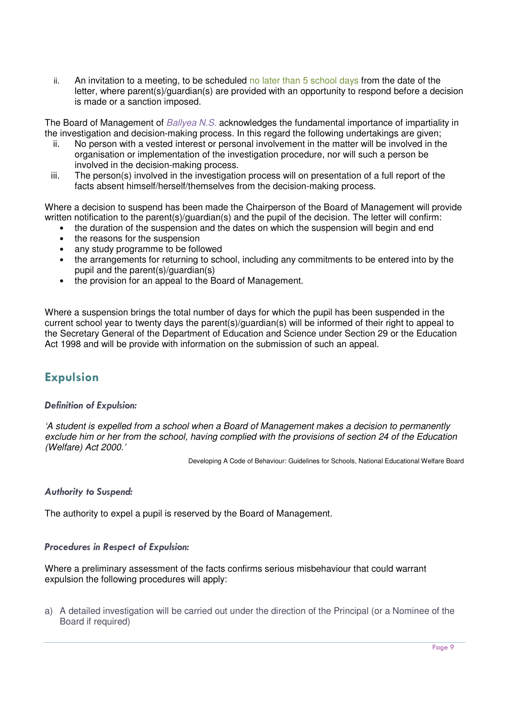ii. An invitation to a meeting, to be scheduled no later than  $5$  school days from the date of the letter, where parent(s)/guardian(s) are provided with an opportunity to respond before a decision is made or a sanction imposed.

The Board of Management of Ballyea N.S. acknowledges the fundamental importance of impartiality in the investigation and decision-making process. In this regard the following undertakings are given;

- ii. No person with a vested interest or personal involvement in the matter will be involved in the organisation or implementation of the investigation procedure, nor will such a person be involved in the decision-making process.
- iii. The person(s) involved in the investigation process will on presentation of a full report of the facts absent himself/herself/themselves from the decision-making process.

Where a decision to suspend has been made the Chairperson of the Board of Management will provide written notification to the parent(s)/guardian(s) and the pupil of the decision. The letter will confirm:

- the duration of the suspension and the dates on which the suspension will begin and end
- the reasons for the suspension
- any study programme to be followed
- the arrangements for returning to school, including any commitments to be entered into by the pupil and the parent(s)/guardian(s)
- the provision for an appeal to the Board of Management.

Where a suspension brings the total number of days for which the pupil has been suspended in the current school year to twenty days the parent(s)/guardian(s) will be informed of their right to appeal to the Secretary General of the Department of Education and Science under Section 29 or the Education Act 1998 and will be provide with information on the submission of such an appeal.

# Expulsion

# Definition of Expulsion:

'A student is expelled from a school when a Board of Management makes a decision to permanently exclude him or her from the school, having complied with the provisions of section 24 of the Education (Welfare) Act 2000.'

Developing A Code of Behaviour: Guidelines for Schools, National Educational Welfare Board

# Authority to Suspend:

The authority to expel a pupil is reserved by the Board of Management.

# Procedures in Respect of Expulsion:

Where a preliminary assessment of the facts confirms serious misbehaviour that could warrant expulsion the following procedures will apply:

a) A detailed investigation will be carried out under the direction of the Principal (or a Nominee of the Board if required)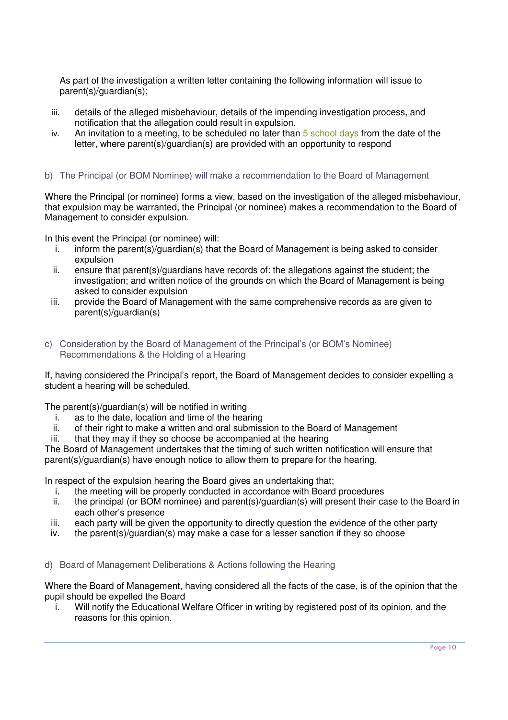As part of the investigation a written letter containing the following information will issue to parent(s)/guardian(s);

- iii. details of the alleged misbehaviour, details of the impending investigation process, and notification that the allegation could result in expulsion.
- iv. An invitation to a meeting, to be scheduled no later than  $5$  school days from the date of the letter, where parent(s)/guardian(s) are provided with an opportunity to respond
- b) The Principal (or BOM Nominee) will make a recommendation to the Board of Management

Where the Principal (or nominee) forms a view, based on the investigation of the alleged misbehaviour, that expulsion may be warranted, the Principal (or nominee) makes a recommendation to the Board of Management to consider expulsion.

In this event the Principal (or nominee) will:

- i. inform the parent(s)/guardian(s) that the Board of Management is being asked to consider expulsion
- ii. ensure that parent(s)/guardians have records of: the allegations against the student; the investigation; and written notice of the grounds on which the Board of Management is being asked to consider expulsion
- iii. provide the Board of Management with the same comprehensive records as are given to parent(s)/guardian(s)
- c) Consideration by the Board of Management of the Principal's (or BOM's Nominee) Recommendations & the Holding of a Hearing

If, having considered the Principal's report, the Board of Management decides to consider expelling a student a hearing will be scheduled.

The parent(s)/guardian(s) will be notified in writing

- i. as to the date, location and time of the hearing
- ii. of their right to make a written and oral submission to the Board of Management
- iii. that they may if they so choose be accompanied at the hearing

The Board of Management undertakes that the timing of such written notification will ensure that parent(s)/guardian(s) have enough notice to allow them to prepare for the hearing.

In respect of the expulsion hearing the Board gives an undertaking that;

- i. the meeting will be properly conducted in accordance with Board procedures
- ii. the principal (or BOM nominee) and parent(s)/guardian(s) will present their case to the Board in each other's presence
- iii. each party will be given the opportunity to directly question the evidence of the other party
- iv. the parent(s)/guardian(s) may make a case for a lesser sanction if they so choose

d) Board of Management Deliberations & Actions following the Hearing

Where the Board of Management, having considered all the facts of the case, is of the opinion that the pupil should be expelled the Board

i. Will notify the Educational Welfare Officer in writing by registered post of its opinion, and the reasons for this opinion.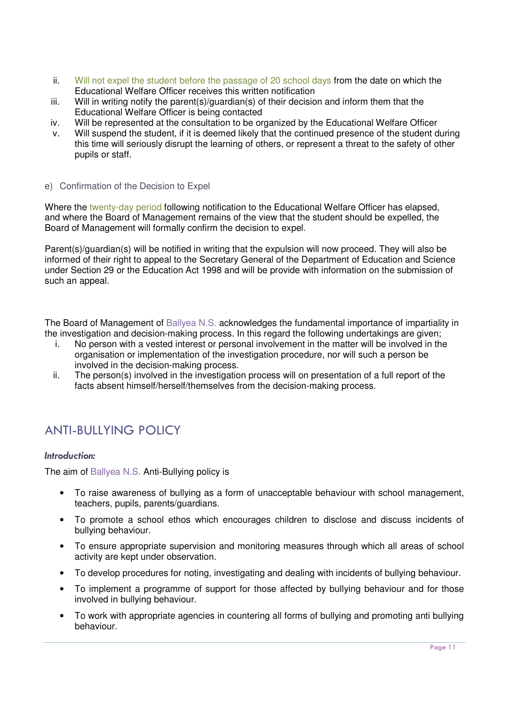- ii. Will not expel the student before the passage of 20 school days from the date on which the Educational Welfare Officer receives this written notification
- iii. Will in writing notify the parent(s)/guardian(s) of their decision and inform them that the Educational Welfare Officer is being contacted
- iv. Will be represented at the consultation to be organized by the Educational Welfare Officer
- v. Will suspend the student, if it is deemed likely that the continued presence of the student during this time will seriously disrupt the learning of others, or represent a threat to the safety of other pupils or staff.
- e) Confirmation of the Decision to Expel

Where the twenty-day period following notification to the Educational Welfare Officer has elapsed, and where the Board of Management remains of the view that the student should be expelled, the Board of Management will formally confirm the decision to expel.

Parent(s)/guardian(s) will be notified in writing that the expulsion will now proceed. They will also be informed of their right to appeal to the Secretary General of the Department of Education and Science under Section 29 or the Education Act 1998 and will be provide with information on the submission of such an appeal.

The Board of Management of Ballyea N.S. acknowledges the fundamental importance of impartiality in the investigation and decision-making process. In this regard the following undertakings are given;

- i. No person with a vested interest or personal involvement in the matter will be involved in the organisation or implementation of the investigation procedure, nor will such a person be involved in the decision-making process.
- ii. The person(s) involved in the investigation process will on presentation of a full report of the facts absent himself/herself/themselves from the decision-making process.

# ANTI-BULLYING POLICY

# Introduction:

The aim of Ballyea N.S. Anti-Bullying policy is

- To raise awareness of bullying as a form of unacceptable behaviour with school management, teachers, pupils, parents/guardians.
- To promote a school ethos which encourages children to disclose and discuss incidents of bullying behaviour.
- To ensure appropriate supervision and monitoring measures through which all areas of school activity are kept under observation.
- To develop procedures for noting, investigating and dealing with incidents of bullying behaviour.
- To implement a programme of support for those affected by bullying behaviour and for those involved in bullying behaviour.
- To work with appropriate agencies in countering all forms of bullying and promoting anti bullying behaviour.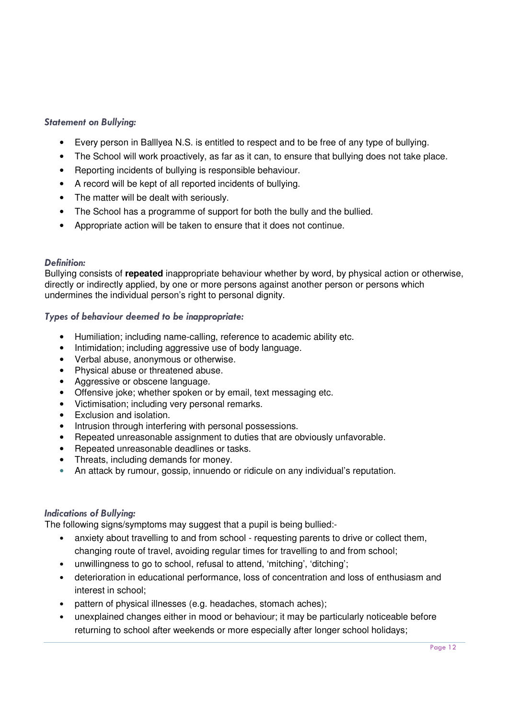# Statement on Bullying:

- Every person in Balllyea N.S. is entitled to respect and to be free of any type of bullying.
- The School will work proactively, as far as it can, to ensure that bullying does not take place.
- Reporting incidents of bullying is responsible behaviour.
- A record will be kept of all reported incidents of bullying.
- The matter will be dealt with seriously.
- The School has a programme of support for both the bully and the bullied.
- Appropriate action will be taken to ensure that it does not continue.

#### Definition:

Bullying consists of **repeated** inappropriate behaviour whether by word, by physical action or otherwise, directly or indirectly applied, by one or more persons against another person or persons which undermines the individual person's right to personal dignity.

# Types of behaviour deemed to be inappropriate:

- Humiliation; including name-calling, reference to academic ability etc.
- Intimidation; including aggressive use of body language.
- Verbal abuse, anonymous or otherwise.
- Physical abuse or threatened abuse.
- Aggressive or obscene language.
- Offensive joke; whether spoken or by email, text messaging etc.
- Victimisation; including very personal remarks.
- Exclusion and isolation.
- Intrusion through interfering with personal possessions.
- Repeated unreasonable assignment to duties that are obviously unfavorable.
- Repeated unreasonable deadlines or tasks.
- Threats, including demands for money.
- An attack by rumour, gossip, innuendo or ridicule on any individual's reputation.

# Indications of Bullying:

The following signs/symptoms may suggest that a pupil is being bullied:-

- anxiety about travelling to and from school requesting parents to drive or collect them, changing route of travel, avoiding regular times for travelling to and from school;
- unwillingness to go to school, refusal to attend, 'mitching', 'ditching';
- deterioration in educational performance, loss of concentration and loss of enthusiasm and interest in school;
- pattern of physical illnesses (e.g. headaches, stomach aches);
- unexplained changes either in mood or behaviour; it may be particularly noticeable before returning to school after weekends or more especially after longer school holidays;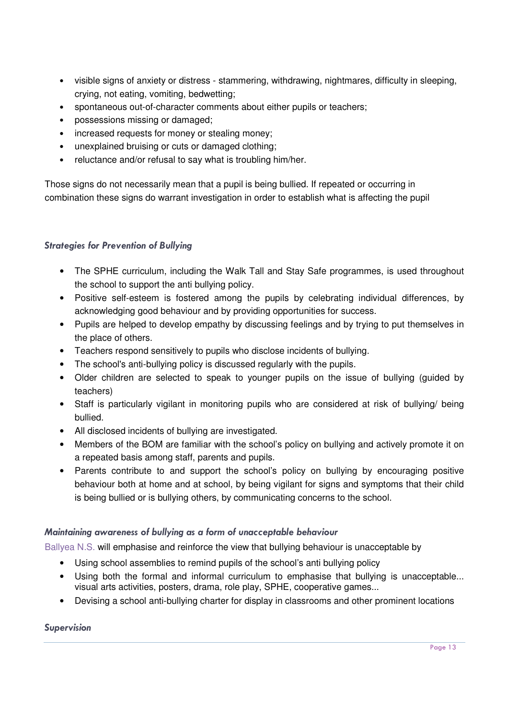- visible signs of anxiety or distress stammering, withdrawing, nightmares, difficulty in sleeping, crying, not eating, vomiting, bedwetting;
- spontaneous out-of-character comments about either pupils or teachers;
- possessions missing or damaged;
- increased requests for money or stealing money;
- unexplained bruising or cuts or damaged clothing;
- reluctance and/or refusal to say what is troubling him/her.

Those signs do not necessarily mean that a pupil is being bullied. If repeated or occurring in combination these signs do warrant investigation in order to establish what is affecting the pupil

# Strategies for Prevention of Bullying

- The SPHE curriculum, including the Walk Tall and Stay Safe programmes, is used throughout the school to support the anti bullying policy.
- Positive self-esteem is fostered among the pupils by celebrating individual differences, by acknowledging good behaviour and by providing opportunities for success.
- Pupils are helped to develop empathy by discussing feelings and by trying to put themselves in the place of others.
- Teachers respond sensitively to pupils who disclose incidents of bullying.
- The school's anti-bullying policy is discussed regularly with the pupils.
- Older children are selected to speak to younger pupils on the issue of bullying (guided by teachers)
- Staff is particularly vigilant in monitoring pupils who are considered at risk of bullying/ being bullied.
- All disclosed incidents of bullying are investigated.
- Members of the BOM are familiar with the school's policy on bullying and actively promote it on a repeated basis among staff, parents and pupils.
- Parents contribute to and support the school's policy on bullying by encouraging positive behaviour both at home and at school, by being vigilant for signs and symptoms that their child is being bullied or is bullying others, by communicating concerns to the school.

# Maintaining awareness of bullying as a form of unacceptable behaviour

Ballyea N.S. will emphasise and reinforce the view that bullying behaviour is unacceptable by

- Using school assemblies to remind pupils of the school's anti bullying policy
- Using both the formal and informal curriculum to emphasise that bullying is unacceptable... visual arts activities, posters, drama, role play, SPHE, cooperative games...
- Devising a school anti-bullying charter for display in classrooms and other prominent locations

# Supervision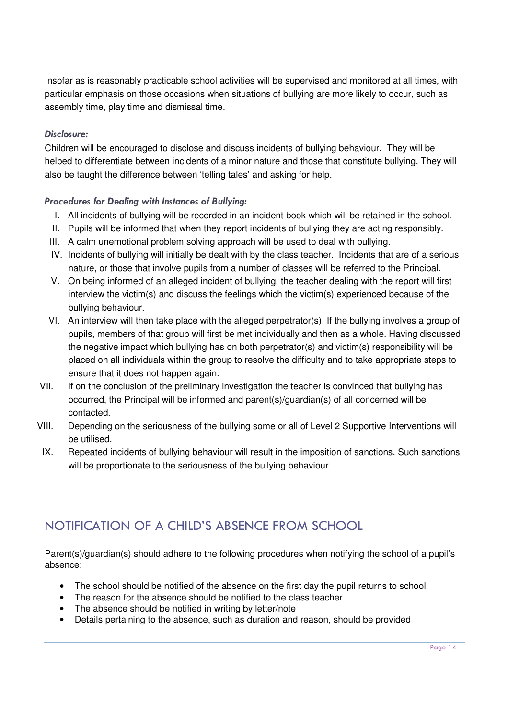Insofar as is reasonably practicable school activities will be supervised and monitored at all times, with particular emphasis on those occasions when situations of bullying are more likely to occur, such as assembly time, play time and dismissal time.

# Disclosure:

Children will be encouraged to disclose and discuss incidents of bullying behaviour. They will be helped to differentiate between incidents of a minor nature and those that constitute bullying. They will also be taught the difference between 'telling tales' and asking for help.

# Procedures for Dealing with Instances of Bullying:

- I. All incidents of bullying will be recorded in an incident book which will be retained in the school.
- II. Pupils will be informed that when they report incidents of bullying they are acting responsibly.
- III. A calm unemotional problem solving approach will be used to deal with bullying.
- IV. Incidents of bullying will initially be dealt with by the class teacher. Incidents that are of a serious nature, or those that involve pupils from a number of classes will be referred to the Principal.
- V. On being informed of an alleged incident of bullying, the teacher dealing with the report will first interview the victim(s) and discuss the feelings which the victim(s) experienced because of the bullying behaviour.
- VI. An interview will then take place with the alleged perpetrator(s). If the bullying involves a group of pupils, members of that group will first be met individually and then as a whole. Having discussed the negative impact which bullying has on both perpetrator(s) and victim(s) responsibility will be placed on all individuals within the group to resolve the difficulty and to take appropriate steps to ensure that it does not happen again.
- VII. If on the conclusion of the preliminary investigation the teacher is convinced that bullying has occurred, the Principal will be informed and parent(s)/guardian(s) of all concerned will be contacted.
- VIII. Depending on the seriousness of the bullying some or all of Level 2 Supportive Interventions will be utilised.
- IX. Repeated incidents of bullying behaviour will result in the imposition of sanctions. Such sanctions will be proportionate to the seriousness of the bullying behaviour.

# NOTIFICATION OF A CHILD'S ABSENCE FROM SCHOOL

Parent(s)/guardian(s) should adhere to the following procedures when notifying the school of a pupil's absence;

- The school should be notified of the absence on the first day the pupil returns to school
- The reason for the absence should be notified to the class teacher
- The absence should be notified in writing by letter/note
- Details pertaining to the absence, such as duration and reason, should be provided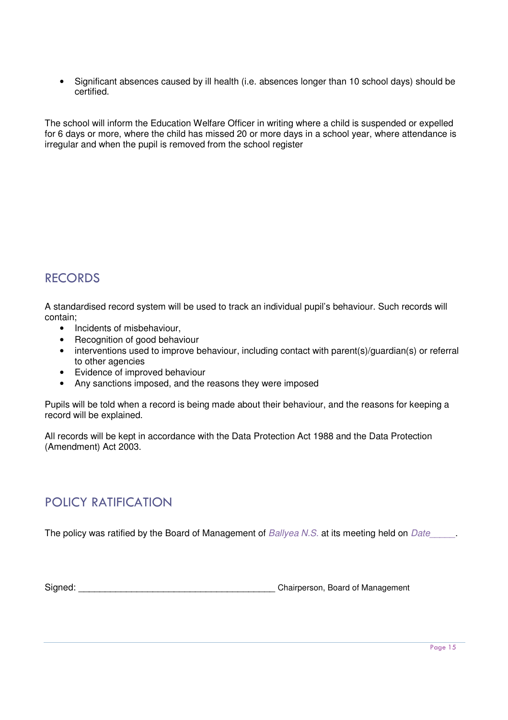• Significant absences caused by ill health (i.e. absences longer than 10 school days) should be certified.

The school will inform the Education Welfare Officer in writing where a child is suspended or expelled for 6 days or more, where the child has missed 20 or more days in a school year, where attendance is irregular and when the pupil is removed from the school register

# RECORDS

A standardised record system will be used to track an individual pupil's behaviour. Such records will contain;

- Incidents of misbehaviour,
- Recognition of good behaviour
- interventions used to improve behaviour, including contact with parent(s)/guardian(s) or referral to other agencies
- Evidence of improved behaviour
- Any sanctions imposed, and the reasons they were imposed

Pupils will be told when a record is being made about their behaviour, and the reasons for keeping a record will be explained.

All records will be kept in accordance with the Data Protection Act 1988 and the Data Protection (Amendment) Act 2003.

# POLICY RATIFICATION

The policy was ratified by the Board of Management of Ballyea N.S. at its meeting held on Date

Signed: Chairperson, Board of Management